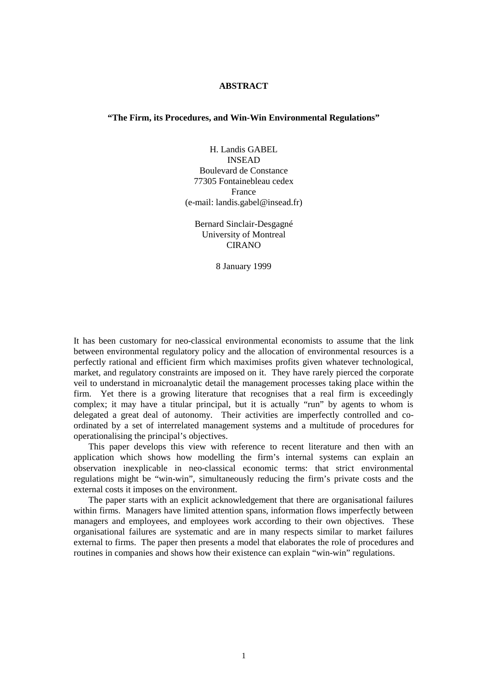# **ABSTRACT**

# **"The Firm, its Procedures, and Win-Win Environmental Regulations"**

H. Landis GABEL INSEAD Boulevard de Constance 77305 Fontainebleau cedex France (e-mail: landis.gabel@insead.fr)

Bernard Sinclair-Desgagné University of Montreal CIRANO

8 January 1999

It has been customary for neo-classical environmental economists to assume that the link between environmental regulatory policy and the allocation of environmental resources is a perfectly rational and efficient firm which maximises profits given whatever technological, market, and regulatory constraints are imposed on it. They have rarely pierced the corporate veil to understand in microanalytic detail the management processes taking place within the firm. Yet there is a growing literature that recognises that a real firm is exceedingly complex; it may have a titular principal, but it is actually "run" by agents to whom is delegated a great deal of autonomy. Their activities are imperfectly controlled and coordinated by a set of interrelated management systems and a multitude of procedures for operationalising the principal's objectives.

This paper develops this view with reference to recent literature and then with an application which shows how modelling the firm's internal systems can explain an observation inexplicable in neo-classical economic terms: that strict environmental regulations might be "win-win", simultaneously reducing the firm's private costs and the external costs it imposes on the environment.

The paper starts with an explicit acknowledgement that there are organisational failures within firms. Managers have limited attention spans, information flows imperfectly between managers and employees, and employees work according to their own objectives. These organisational failures are systematic and are in many respects similar to market failures external to firms. The paper then presents a model that elaborates the role of procedures and routines in companies and shows how their existence can explain "win-win" regulations.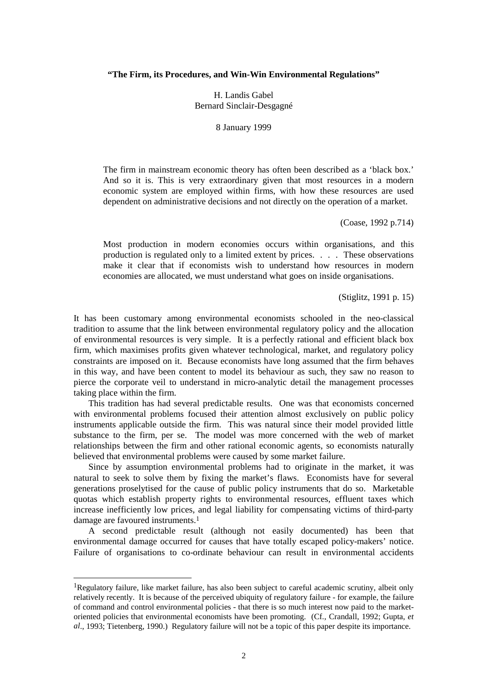#### **"The Firm, its Procedures, and Win-Win Environmental Regulations"**

H. Landis Gabel Bernard Sinclair-Desgagné

8 January 1999

The firm in mainstream economic theory has often been described as a 'black box.' And so it is. This is very extraordinary given that most resources in a modern economic system are employed within firms, with how these resources are used dependent on administrative decisions and not directly on the operation of a market.

(Coase, 1992 p.714)

Most production in modern economies occurs within organisations, and this production is regulated only to a limited extent by prices. . . . These observations make it clear that if economists wish to understand how resources in modern economies are allocated, we must understand what goes on inside organisations.

(Stiglitz, 1991 p. 15)

It has been customary among environmental economists schooled in the neo-classical tradition to assume that the link between environmental regulatory policy and the allocation of environmental resources is very simple. It is a perfectly rational and efficient black box firm, which maximises profits given whatever technological, market, and regulatory policy constraints are imposed on it. Because economists have long assumed that the firm behaves in this way, and have been content to model its behaviour as such, they saw no reason to pierce the corporate veil to understand in micro-analytic detail the management processes taking place within the firm.

This tradition has had several predictable results. One was that economists concerned with environmental problems focused their attention almost exclusively on public policy instruments applicable outside the firm. This was natural since their model provided little substance to the firm, per se. The model was more concerned with the web of market relationships between the firm and other rational economic agents, so economists naturally believed that environmental problems were caused by some market failure.

Since by assumption environmental problems had to originate in the market, it was natural to seek to solve them by fixing the market's flaws. Economists have for several generations proselytised for the cause of public policy instruments that do so. Marketable quotas which establish property rights to environmental resources, effluent taxes which increase inefficiently low prices, and legal liability for compensating victims of third-party damage are favoured instruments.1

A second predictable result (although not easily documented) has been that environmental damage occurred for causes that have totally escaped policy-makers' notice. Failure of organisations to co-ordinate behaviour can result in environmental accidents

<sup>&</sup>lt;sup>1</sup>Regulatory failure, like market failure, has also been subject to careful academic scrutiny, albeit only relatively recently. It is because of the perceived ubiquity of regulatory failure - for example, the failure of command and control environmental policies - that there is so much interest now paid to the marketoriented policies that environmental economists have been promoting. (Cf., Crandall, 1992; Gupta, *et al*., 1993; Tietenberg, 1990.) Regulatory failure will not be a topic of this paper despite its importance.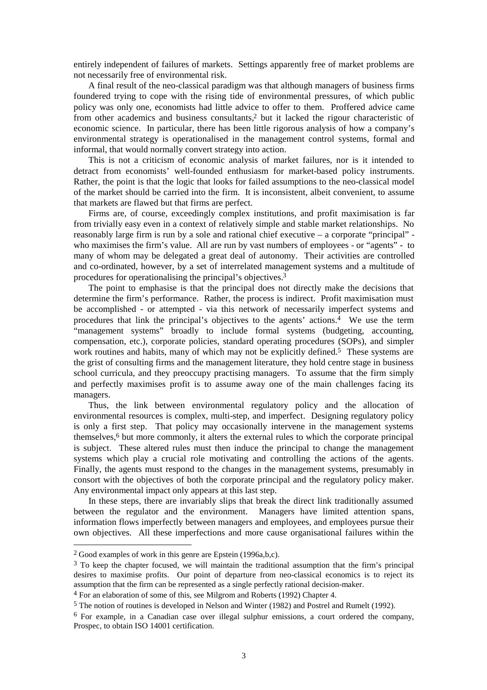entirely independent of failures of markets. Settings apparently free of market problems are not necessarily free of environmental risk.

A final result of the neo-classical paradigm was that although managers of business firms foundered trying to cope with the rising tide of environmental pressures, of which public policy was only one, economists had little advice to offer to them. Proffered advice came from other academics and business consultants,2 but it lacked the rigour characteristic of economic science. In particular, there has been little rigorous analysis of how a company's environmental strategy is operationalised in the management control systems, formal and informal, that would normally convert strategy into action.

This is not a criticism of economic analysis of market failures, nor is it intended to detract from economists' well-founded enthusiasm for market-based policy instruments. Rather, the point is that the logic that looks for failed assumptions to the neo-classical model of the market should be carried into the firm. It is inconsistent, albeit convenient, to assume that markets are flawed but that firms are perfect.

Firms are, of course, exceedingly complex institutions, and profit maximisation is far from trivially easy even in a context of relatively simple and stable market relationships. No reasonably large firm is run by a sole and rational chief executive – a corporate "principal" who maximises the firm's value. All are run by vast numbers of employees - or "agents" - to many of whom may be delegated a great deal of autonomy. Their activities are controlled and co-ordinated, however, by a set of interrelated management systems and a multitude of procedures for operationalising the principal's objectives.3

The point to emphasise is that the principal does not directly make the decisions that determine the firm's performance. Rather, the process is indirect. Profit maximisation must be accomplished - or attempted - via this network of necessarily imperfect systems and procedures that link the principal's objectives to the agents' actions.4 We use the term "management systems" broadly to include formal systems (budgeting, accounting, compensation, etc.), corporate policies, standard operating procedures (SOPs), and simpler work routines and habits, many of which may not be explicitly defined.<sup>5</sup> These systems are the grist of consulting firms and the management literature, they hold centre stage in business school curricula, and they preoccupy practising managers. To assume that the firm simply and perfectly maximises profit is to assume away one of the main challenges facing its managers.

Thus, the link between environmental regulatory policy and the allocation of environmental resources is complex, multi-step, and imperfect. Designing regulatory policy is only a first step. That policy may occasionally intervene in the management systems themselves,6 but more commonly, it alters the external rules to which the corporate principal is subject. These altered rules must then induce the principal to change the management systems which play a crucial role motivating and controlling the actions of the agents. Finally, the agents must respond to the changes in the management systems, presumably in consort with the objectives of both the corporate principal and the regulatory policy maker. Any environmental impact only appears at this last step.

In these steps, there are invariably slips that break the direct link traditionally assumed between the regulator and the environment. Managers have limited attention spans, information flows imperfectly between managers and employees, and employees pursue their own objectives. All these imperfections and more cause organisational failures within the

<sup>2</sup> Good examples of work in this genre are Epstein (1996a,b,c).

<sup>&</sup>lt;sup>3</sup> To keep the chapter focused, we will maintain the traditional assumption that the firm's principal desires to maximise profits. Our point of departure from neo-classical economics is to reject its assumption that the firm can be represented as a single perfectly rational decision-maker.

<sup>4</sup> For an elaboration of some of this, see Milgrom and Roberts (1992) Chapter 4.

<sup>5</sup> The notion of routines is developed in Nelson and Winter (1982) and Postrel and Rumelt (1992).

 $6$  For example, in a Canadian case over illegal sulphur emissions, a court ordered the company, Prospec, to obtain ISO 14001 certification.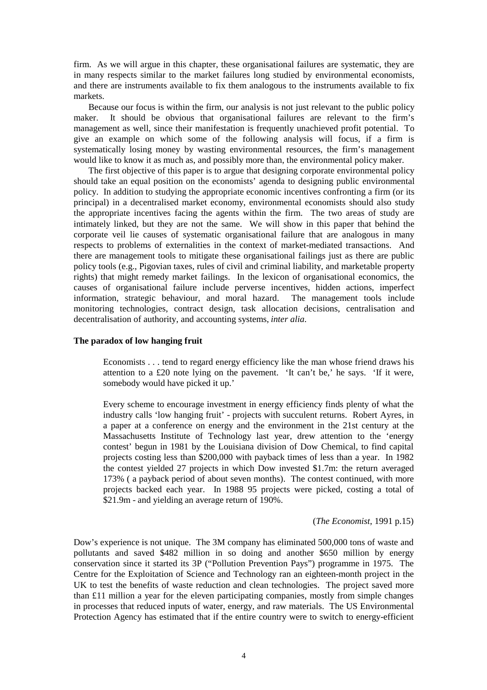firm. As we will argue in this chapter, these organisational failures are systematic, they are in many respects similar to the market failures long studied by environmental economists, and there are instruments available to fix them analogous to the instruments available to fix markets.

Because our focus is within the firm, our analysis is not just relevant to the public policy maker. It should be obvious that organisational failures are relevant to the firm's management as well, since their manifestation is frequently unachieved profit potential. To give an example on which some of the following analysis will focus, if a firm is systematically losing money by wasting environmental resources, the firm's management would like to know it as much as, and possibly more than, the environmental policy maker.

The first objective of this paper is to argue that designing corporate environmental policy should take an equal position on the economists' agenda to designing public environmental policy. In addition to studying the appropriate economic incentives confronting a firm (or its principal) in a decentralised market economy, environmental economists should also study the appropriate incentives facing the agents within the firm. The two areas of study are intimately linked, but they are not the same. We will show in this paper that behind the corporate veil lie causes of systematic organisational failure that are analogous in many respects to problems of externalities in the context of market-mediated transactions. And there are management tools to mitigate these organisational failings just as there are public policy tools (e.g., Pigovian taxes, rules of civil and criminal liability, and marketable property rights) that might remedy market failings. In the lexicon of organisational economics, the causes of organisational failure include perverse incentives, hidden actions, imperfect information, strategic behaviour, and moral hazard. The management tools include monitoring technologies, contract design, task allocation decisions, centralisation and decentralisation of authority, and accounting systems, *inter alia*.

# **The paradox of low hanging fruit**

Economists . . . tend to regard energy efficiency like the man whose friend draws his attention to a £20 note lying on the pavement. 'It can't be,' he says. 'If it were, somebody would have picked it up.'

Every scheme to encourage investment in energy efficiency finds plenty of what the industry calls 'low hanging fruit' - projects with succulent returns. Robert Ayres, in a paper at a conference on energy and the environment in the 21st century at the Massachusetts Institute of Technology last year, drew attention to the 'energy contest' begun in 1981 by the Louisiana division of Dow Chemical, to find capital projects costing less than \$200,000 with payback times of less than a year. In 1982 the contest yielded 27 projects in which Dow invested \$1.7m: the return averaged 173% ( a payback period of about seven months). The contest continued, with more projects backed each year. In 1988 95 projects were picked, costing a total of \$21.9m - and yielding an average return of 190%.

(*The Economist*, 1991 p.15)

Dow's experience is not unique. The 3M company has eliminated 500,000 tons of waste and pollutants and saved \$482 million in so doing and another \$650 million by energy conservation since it started its 3P ("Pollution Prevention Pays") programme in 1975. The Centre for the Exploitation of Science and Technology ran an eighteen-month project in the UK to test the benefits of waste reduction and clean technologies. The project saved more than £11 million a year for the eleven participating companies, mostly from simple changes in processes that reduced inputs of water, energy, and raw materials. The US Environmental Protection Agency has estimated that if the entire country were to switch to energy-efficient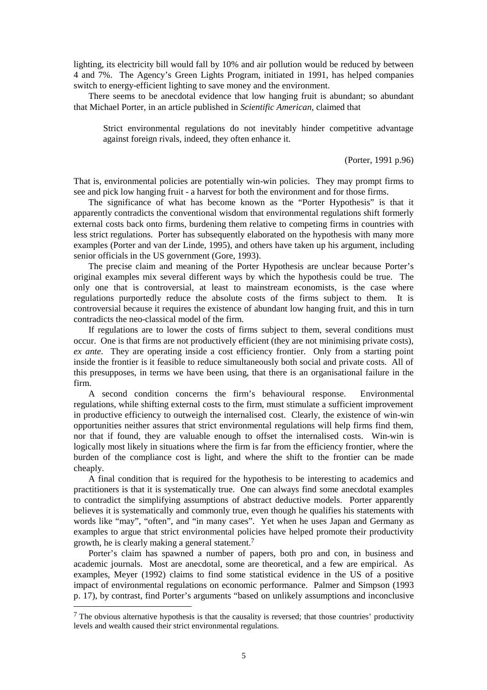lighting, its electricity bill would fall by 10% and air pollution would be reduced by between 4 and 7%. The Agency's Green Lights Program, initiated in 1991, has helped companies switch to energy-efficient lighting to save money and the environment.

There seems to be anecdotal evidence that low hanging fruit is abundant; so abundant that Michael Porter, in an article published in *Scientific American*, claimed that

Strict environmental regulations do not inevitably hinder competitive advantage against foreign rivals, indeed, they often enhance it.

(Porter, 1991 p.96)

That is, environmental policies are potentially win-win policies. They may prompt firms to see and pick low hanging fruit - a harvest for both the environment and for those firms.

The significance of what has become known as the "Porter Hypothesis" is that it apparently contradicts the conventional wisdom that environmental regulations shift formerly external costs back onto firms, burdening them relative to competing firms in countries with less strict regulations. Porter has subsequently elaborated on the hypothesis with many more examples (Porter and van der Linde, 1995), and others have taken up his argument, including senior officials in the US government (Gore, 1993).

The precise claim and meaning of the Porter Hypothesis are unclear because Porter's original examples mix several different ways by which the hypothesis could be true. The only one that is controversial, at least to mainstream economists, is the case where regulations purportedly reduce the absolute costs of the firms subject to them. It is controversial because it requires the existence of abundant low hanging fruit, and this in turn contradicts the neo-classical model of the firm.

If regulations are to lower the costs of firms subject to them, several conditions must occur. One is that firms are not productively efficient (they are not minimising private costs), *ex ante*. They are operating inside a cost efficiency frontier. Only from a starting point inside the frontier is it feasible to reduce simultaneously both social and private costs. All of this presupposes, in terms we have been using, that there is an organisational failure in the firm.

A second condition concerns the firm's behavioural response. Environmental regulations, while shifting external costs to the firm, must stimulate a sufficient improvement in productive efficiency to outweigh the internalised cost. Clearly, the existence of win-win opportunities neither assures that strict environmental regulations will help firms find them, nor that if found, they are valuable enough to offset the internalised costs. Win-win is logically most likely in situations where the firm is far from the efficiency frontier, where the burden of the compliance cost is light, and where the shift to the frontier can be made cheaply.

A final condition that is required for the hypothesis to be interesting to academics and practitioners is that it is systematically true. One can always find some anecdotal examples to contradict the simplifying assumptions of abstract deductive models. Porter apparently believes it is systematically and commonly true, even though he qualifies his statements with words like "may", "often", and "in many cases". Yet when he uses Japan and Germany as examples to argue that strict environmental policies have helped promote their productivity growth, he is clearly making a general statement.7

Porter's claim has spawned a number of papers, both pro and con, in business and academic journals. Most are anecdotal, some are theoretical, and a few are empirical. As examples, Meyer (1992) claims to find some statistical evidence in the US of a positive impact of environmental regulations on economic performance. Palmer and Simpson (1993 p. 17), by contrast, find Porter's arguments "based on unlikely assumptions and inconclusive

 $<sup>7</sup>$  The obvious alternative hypothesis is that the causality is reversed; that those countries' productivity</sup> levels and wealth caused their strict environmental regulations.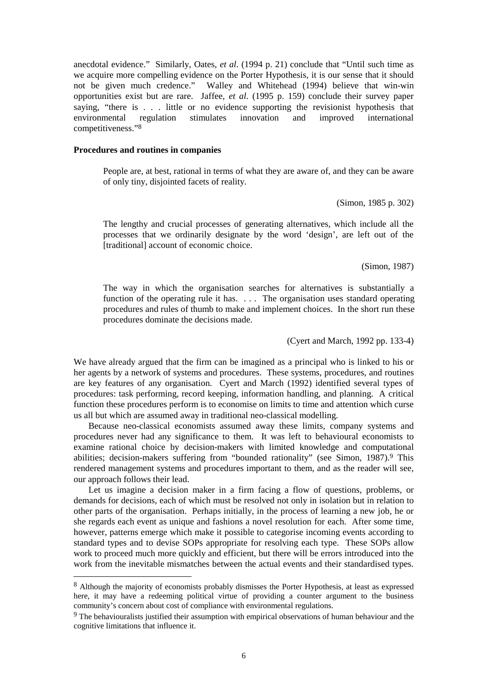anecdotal evidence." Similarly, Oates, *et al*. (1994 p. 21) conclude that "Until such time as we acquire more compelling evidence on the Porter Hypothesis, it is our sense that it should not be given much credence." Walley and Whitehead (1994) believe that win-win opportunities exist but are rare. Jaffee, *et al*. (1995 p. 159) conclude their survey paper saying, "there is . . . little or no evidence supporting the revisionist hypothesis that environmental regulation stimulates innovation and improved international competitiveness."8

# **Procedures and routines in companies**

 $\overline{a}$ 

People are, at best, rational in terms of what they are aware of, and they can be aware of only tiny, disjointed facets of reality.

(Simon, 1985 p. 302)

The lengthy and crucial processes of generating alternatives, which include all the processes that we ordinarily designate by the word 'design', are left out of the [traditional] account of economic choice.

(Simon, 1987)

The way in which the organisation searches for alternatives is substantially a function of the operating rule it has. . . . The organisation uses standard operating procedures and rules of thumb to make and implement choices. In the short run these procedures dominate the decisions made.

# (Cyert and March, 1992 pp. 133-4)

We have already argued that the firm can be imagined as a principal who is linked to his or her agents by a network of systems and procedures. These systems, procedures, and routines are key features of any organisation. Cyert and March (1992) identified several types of procedures: task performing, record keeping, information handling, and planning. A critical function these procedures perform is to economise on limits to time and attention which curse us all but which are assumed away in traditional neo-classical modelling.

Because neo-classical economists assumed away these limits, company systems and procedures never had any significance to them. It was left to behavioural economists to examine rational choice by decision-makers with limited knowledge and computational abilities; decision-makers suffering from "bounded rationality" (see Simon, 1987).<sup>9</sup> This rendered management systems and procedures important to them, and as the reader will see, our approach follows their lead.

Let us imagine a decision maker in a firm facing a flow of questions, problems, or demands for decisions, each of which must be resolved not only in isolation but in relation to other parts of the organisation. Perhaps initially, in the process of learning a new job, he or she regards each event as unique and fashions a novel resolution for each. After some time, however, patterns emerge which make it possible to categorise incoming events according to standard types and to devise SOPs appropriate for resolving each type. These SOPs allow work to proceed much more quickly and efficient, but there will be errors introduced into the work from the inevitable mismatches between the actual events and their standardised types.

<sup>8</sup> Although the majority of economists probably dismisses the Porter Hypothesis, at least as expressed here, it may have a redeeming political virtue of providing a counter argument to the business community's concern about cost of compliance with environmental regulations.

<sup>9</sup> The behaviouralists justified their assumption with empirical observations of human behaviour and the cognitive limitations that influence it.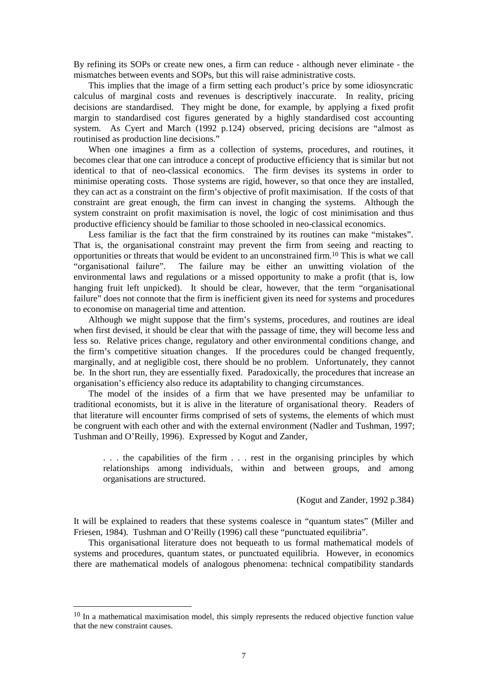By refining its SOPs or create new ones, a firm can reduce - although never eliminate - the mismatches between events and SOPs, but this will raise administrative costs.

This implies that the image of a firm setting each product's price by some idiosyncratic calculus of marginal costs and revenues is descriptively inaccurate. In reality, pricing decisions are standardised. They might be done, for example, by applying a fixed profit margin to standardised cost figures generated by a highly standardised cost accounting system. As Cyert and March (1992 p.124) observed, pricing decisions are "almost as routinised as production line decisions."

When one imagines a firm as a collection of systems, procedures, and routines, it becomes clear that one can introduce a concept of productive efficiency that is similar but not identical to that of neo-classical economics. The firm devises its systems in order to minimise operating costs. Those systems are rigid, however, so that once they are installed, they can act as a constraint on the firm's objective of profit maximisation. If the costs of that constraint are great enough, the firm can invest in changing the systems. Although the system constraint on profit maximisation is novel, the logic of cost minimisation and thus productive efficiency should be familiar to those schooled in neo-classical economics.

Less familiar is the fact that the firm constrained by its routines can make "mistakes". That is, the organisational constraint may prevent the firm from seeing and reacting to opportunities or threats that would be evident to an unconstrained firm.10 This is what we call "organisational failure". The failure may be either an unwitting violation of the environmental laws and regulations or a missed opportunity to make a profit (that is, low hanging fruit left unpicked). It should be clear, however, that the term "organisational failure" does not connote that the firm is inefficient given its need for systems and procedures to economise on managerial time and attention.

Although we might suppose that the firm's systems, procedures, and routines are ideal when first devised, it should be clear that with the passage of time, they will become less and less so. Relative prices change, regulatory and other environmental conditions change, and the firm's competitive situation changes. If the procedures could be changed frequently, marginally, and at negligible cost, there should be no problem. Unfortunately, they cannot be. In the short run, they are essentially fixed. Paradoxically, the procedures that increase an organisation's efficiency also reduce its adaptability to changing circumstances.

The model of the insides of a firm that we have presented may be unfamiliar to traditional economists, but it is alive in the literature of organisational theory. Readers of that literature will encounter firms comprised of sets of systems, the elements of which must be congruent with each other and with the external environment (Nadler and Tushman, 1997; Tushman and O'Reilly, 1996). Expressed by Kogut and Zander,

. . . the capabilities of the firm . . . rest in the organising principles by which relationships among individuals, within and between groups, and among organisations are structured.

(Kogut and Zander, 1992 p.384)

It will be explained to readers that these systems coalesce in "quantum states" (Miller and Friesen, 1984). Tushman and O'Reilly (1996) call these "punctuated equilibria".

This organisational literature does not bequeath to us formal mathematical models of systems and procedures, quantum states, or punctuated equilibria. However, in economics there are mathematical models of analogous phenomena: technical compatibility standards

<sup>&</sup>lt;sup>10</sup> In a mathematical maximisation model, this simply represents the reduced objective function value that the new constraint causes.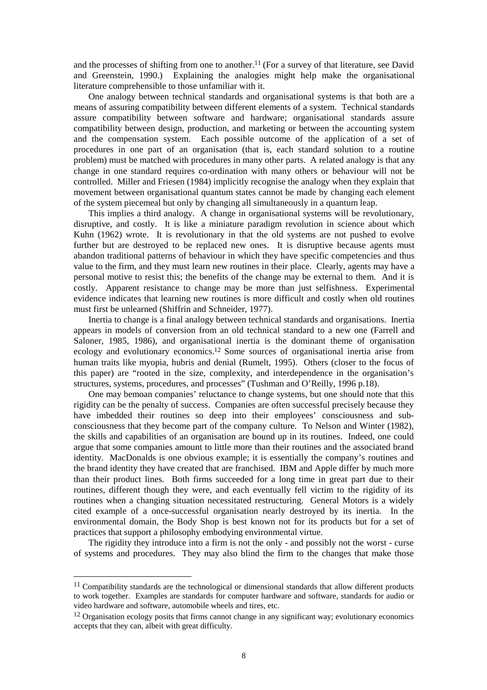and the processes of shifting from one to another.11 (For a survey of that literature, see David and Greenstein, 1990.) Explaining the analogies might help make the organisational literature comprehensible to those unfamiliar with it.

One analogy between technical standards and organisational systems is that both are a means of assuring compatibility between different elements of a system. Technical standards assure compatibility between software and hardware; organisational standards assure compatibility between design, production, and marketing or between the accounting system and the compensation system. Each possible outcome of the application of a set of procedures in one part of an organisation (that is, each standard solution to a routine problem) must be matched with procedures in many other parts. A related analogy is that any change in one standard requires co-ordination with many others or behaviour will not be controlled. Miller and Friesen (1984) implicitly recognise the analogy when they explain that movement between organisational quantum states cannot be made by changing each element of the system piecemeal but only by changing all simultaneously in a quantum leap.

This implies a third analogy. A change in organisational systems will be revolutionary, disruptive, and costly. It is like a miniature paradigm revolution in science about which Kuhn (1962) wrote. It is revolutionary in that the old systems are not pushed to evolve further but are destroyed to be replaced new ones. It is disruptive because agents must abandon traditional patterns of behaviour in which they have specific competencies and thus value to the firm, and they must learn new routines in their place. Clearly, agents may have a personal motive to resist this; the benefits of the change may be external to them. And it is costly. Apparent resistance to change may be more than just selfishness. Experimental evidence indicates that learning new routines is more difficult and costly when old routines must first be unlearned (Shiffrin and Schneider, 1977).

Inertia to change is a final analogy between technical standards and organisations. Inertia appears in models of conversion from an old technical standard to a new one (Farrell and Saloner, 1985, 1986), and organisational inertia is the dominant theme of organisation ecology and evolutionary economics.12 Some sources of organisational inertia arise from human traits like myopia, hubris and denial (Rumelt, 1995). Others (closer to the focus of this paper) are "rooted in the size, complexity, and interdependence in the organisation's structures, systems, procedures, and processes" (Tushman and O'Reilly, 1996 p.18).

One may bemoan companies' reluctance to change systems, but one should note that this rigidity can be the penalty of success. Companies are often successful precisely because they have imbedded their routines so deep into their employees' consciousness and subconsciousness that they become part of the company culture. To Nelson and Winter (1982), the skills and capabilities of an organisation are bound up in its routines. Indeed, one could argue that some companies amount to little more than their routines and the associated brand identity. MacDonalds is one obvious example; it is essentially the company's routines and the brand identity they have created that are franchised. IBM and Apple differ by much more than their product lines. Both firms succeeded for a long time in great part due to their routines, different though they were, and each eventually fell victim to the rigidity of its routines when a changing situation necessitated restructuring. General Motors is a widely cited example of a once-successful organisation nearly destroyed by its inertia. In the environmental domain, the Body Shop is best known not for its products but for a set of practices that support a philosophy embodying environmental virtue.

The rigidity they introduce into a firm is not the only - and possibly not the worst - curse of systems and procedures. They may also blind the firm to the changes that make those

<sup>&</sup>lt;sup>11</sup> Compatibility standards are the technological or dimensional standards that allow different products to work together. Examples are standards for computer hardware and software, standards for audio or video hardware and software, automobile wheels and tires, etc.

<sup>&</sup>lt;sup>12</sup> Organisation ecology posits that firms cannot change in any significant way; evolutionary economics accepts that they can, albeit with great difficulty.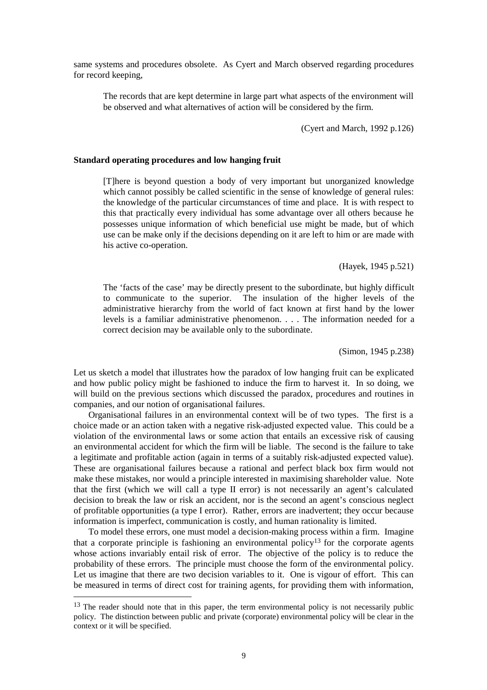same systems and procedures obsolete. As Cyert and March observed regarding procedures for record keeping,

The records that are kept determine in large part what aspects of the environment will be observed and what alternatives of action will be considered by the firm.

(Cyert and March, 1992 p.126)

### **Standard operating procedures and low hanging fruit**

[T]here is beyond question a body of very important but unorganized knowledge which cannot possibly be called scientific in the sense of knowledge of general rules: the knowledge of the particular circumstances of time and place. It is with respect to this that practically every individual has some advantage over all others because he possesses unique information of which beneficial use might be made, but of which use can be make only if the decisions depending on it are left to him or are made with his active co-operation.

(Hayek, 1945 p.521)

The 'facts of the case' may be directly present to the subordinate, but highly difficult to communicate to the superior. The insulation of the higher levels of the administrative hierarchy from the world of fact known at first hand by the lower levels is a familiar administrative phenomenon. . . . The information needed for a correct decision may be available only to the subordinate.

(Simon, 1945 p.238)

Let us sketch a model that illustrates how the paradox of low hanging fruit can be explicated and how public policy might be fashioned to induce the firm to harvest it. In so doing, we will build on the previous sections which discussed the paradox, procedures and routines in companies, and our notion of organisational failures.

Organisational failures in an environmental context will be of two types. The first is a choice made or an action taken with a negative risk-adjusted expected value. This could be a violation of the environmental laws or some action that entails an excessive risk of causing an environmental accident for which the firm will be liable. The second is the failure to take a legitimate and profitable action (again in terms of a suitably risk-adjusted expected value). These are organisational failures because a rational and perfect black box firm would not make these mistakes, nor would a principle interested in maximising shareholder value. Note that the first (which we will call a type II error) is not necessarily an agent's calculated decision to break the law or risk an accident, nor is the second an agent's conscious neglect of profitable opportunities (a type I error). Rather, errors are inadvertent; they occur because information is imperfect, communication is costly, and human rationality is limited.

To model these errors, one must model a decision-making process within a firm. Imagine that a corporate principle is fashioning an environmental policy<sup>13</sup> for the corporate agents whose actions invariably entail risk of error. The objective of the policy is to reduce the probability of these errors. The principle must choose the form of the environmental policy. Let us imagine that there are two decision variables to it. One is vigour of effort. This can be measured in terms of direct cost for training agents, for providing them with information,

<sup>&</sup>lt;sup>13</sup> The reader should note that in this paper, the term environmental policy is not necessarily public policy. The distinction between public and private (corporate) environmental policy will be clear in the context or it will be specified.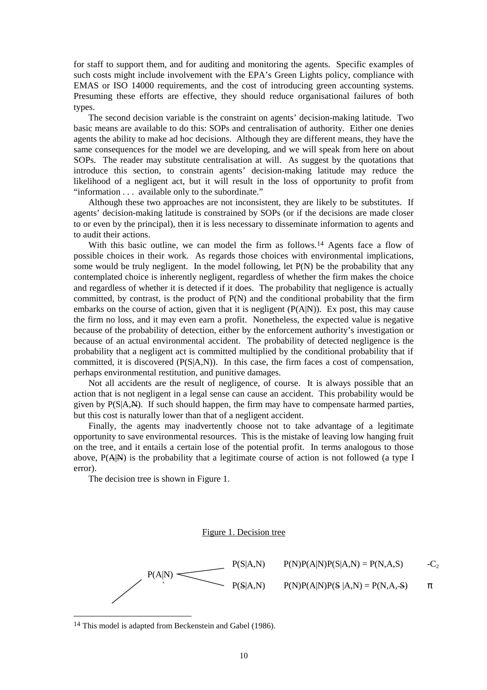for staff to support them, and for auditing and monitoring the agents. Specific examples of such costs might include involvement with the EPA's Green Lights policy, compliance with EMAS or ISO 14000 requirements, and the cost of introducing green accounting systems. Presuming these efforts are effective, they should reduce organisational failures of both types.

The second decision variable is the constraint on agents' decision-making latitude. Two basic means are available to do this: SOPs and centralisation of authority. Either one denies agents the ability to make ad hoc decisions. Although they are different means, they have the same consequences for the model we are developing, and we will speak from here on about SOPs. The reader may substitute centralisation at will. As suggest by the quotations that introduce this section, to constrain agents' decision-making latitude may reduce the likelihood of a negligent act, but it will result in the loss of opportunity to profit from "information . . . available only to the subordinate."

Although these two approaches are not inconsistent, they are likely to be substitutes. If agents' decision-making latitude is constrained by SOPs (or if the decisions are made closer to or even by the principal), then it is less necessary to disseminate information to agents and to audit their actions.

With this basic outline, we can model the firm as follows.14 Agents face a flow of possible choices in their work. As regards those choices with environmental implications, some would be truly negligent. In the model following, let P(N) be the probability that any contemplated choice is inherently negligent, regardless of whether the firm makes the choice and regardless of whether it is detected if it does. The probability that negligence is actually committed, by contrast, is the product of P(N) and the conditional probability that the firm embarks on the course of action, given that it is negligent  $(P(A|N))$ . Ex post, this may cause the firm no loss, and it may even earn a profit. Nonetheless, the expected value is negative because of the probability of detection, either by the enforcement authority's investigation or because of an actual environmental accident. The probability of detected negligence is the probability that a negligent act is committed multiplied by the conditional probability that if committed, it is discovered (P(S|A,N)). In this case, the firm faces a cost of compensation, perhaps environmental restitution, and punitive damages.

Not all accidents are the result of negligence, of course. It is always possible that an action that is not negligent in a legal sense can cause an accident. This probability would be given by P(S|A,N). If such should happen, the firm may have to compensate harmed parties, but this cost is naturally lower than that of a negligent accident.

Finally, the agents may inadvertently choose not to take advantage of a legitimate opportunity to save environmental resources. This is the mistake of leaving low hanging fruit on the tree, and it entails a certain lose of the potential profit. In terms analogous to those above, P(A|N) is the probability that a legitimate course of action is not followed (a type I error).

The decision tree is shown in Figure 1.





<sup>14</sup> This model is adapted from Beckenstein and Gabel (1986).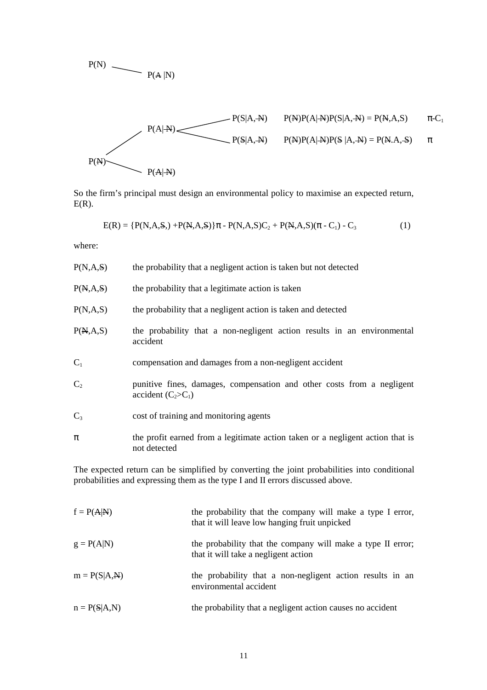$$
P(N)
$$
\n
$$
P(A|N)
$$
\n
$$
P(S|A,N)
$$
\n
$$
P(N)P(A|N)P(S|A,N) = P(N,A,S)
$$
\n
$$
P(S|A,N)
$$
\n
$$
P(N)P(A|N)P(S|A,N) = P(N,A,S)
$$
\n
$$
P(N)
$$
\n
$$
P(A|N)
$$
\n
$$
P(A|N)
$$
\n
$$
P(A|N)
$$

So the firm's principal must design an environmental policy to maximise an expected return,  $E(R)$ .

$$
E(R) = \{P(N, A, S, ) + P(M, A, S)\}\pi - P(N, A, S)C_2 + P(M, A, S)(\pi - C_1) - C_3
$$
\n(1)

where:

| P(N,A,S)                                                                                                                                                                       | the probability that a negligent action is taken but not detected                                |  |  |  |
|--------------------------------------------------------------------------------------------------------------------------------------------------------------------------------|--------------------------------------------------------------------------------------------------|--|--|--|
| P(N, A, S)                                                                                                                                                                     | the probability that a legitimate action is taken                                                |  |  |  |
| P(N,A,S)                                                                                                                                                                       | the probability that a negligent action is taken and detected                                    |  |  |  |
| P(N, A, S)                                                                                                                                                                     | the probability that a non-negligent action results in an environmental<br>accident              |  |  |  |
| $C_1$                                                                                                                                                                          | compensation and damages from a non-negligent accident                                           |  |  |  |
| $C_{2}$                                                                                                                                                                        | punitive fines, damages, compensation and other costs from a negligent<br>accident $(C_2 > C_1)$ |  |  |  |
| $C_3$                                                                                                                                                                          | cost of training and monitoring agents                                                           |  |  |  |
| π                                                                                                                                                                              | the profit earned from a legitimate action taken or a negligent action that is<br>not detected   |  |  |  |
| The expected return can be simplified by converting the joint probabilities into conditional<br>probabilities and expressing them as the type I and II errors discussed above. |                                                                                                  |  |  |  |
|                                                                                                                                                                                |                                                                                                  |  |  |  |

| $f = P(A N)$    | the probability that the company will make a type I error,<br>that it will leave low hanging fruit unpicked |
|-----------------|-------------------------------------------------------------------------------------------------------------|
| $g = P(A N)$    | the probability that the company will make a type II error;<br>that it will take a negligent action         |
| $m = P(S A, N)$ | the probability that a non-negligent action results in an<br>environmental accident                         |
| $n = P(S A,N)$  | the probability that a negligent action causes no accident                                                  |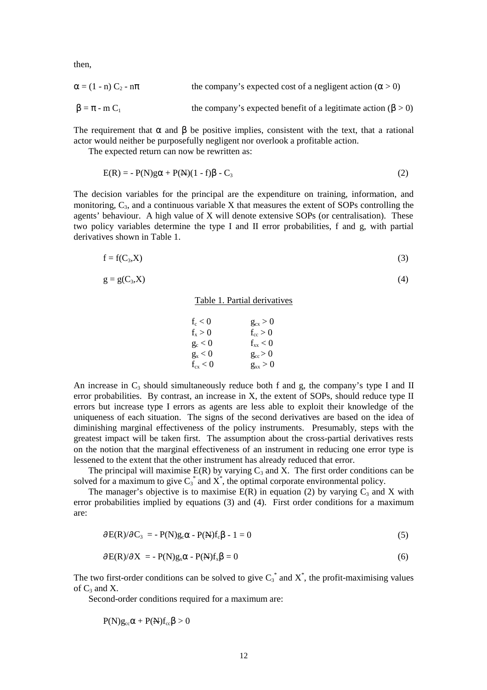then,

$$
\alpha = (1 - n) C_2 - n\pi
$$
 the company's expected cost of a neighbor action ( $\alpha > 0$ )  
 $\beta = \pi - m C_1$  the company's expected benefit of a legitimate action ( $\beta > 0$ )

The requirement that  $\alpha$  and  $\beta$  be positive implies, consistent with the text, that a rational actor would neither be purposefully negligent nor overlook a profitable action.

The expected return can now be rewritten as:

$$
E(R) = -P(N)g\alpha + P(M)(1 - f)\beta - C_3
$$
 (2)

The decision variables for the principal are the expenditure on training, information, and monitoring,  $C_3$ , and a continuous variable X that measures the extent of SOPs controlling the agents' behaviour. A high value of X will denote extensive SOPs (or centralisation). These two policy variables determine the type I and II error probabilities, f and g, with partial derivatives shown in Table 1.

$$
f = f(C_3, X) \tag{3}
$$

$$
g = g(C_3, X) \tag{4}
$$

## Table 1. Partial derivatives

| $\rm{f_c} \,{<}\, 0$ | $g_{cx} > 0$     |
|----------------------|------------------|
| $f_{x} > 0$          | $f_{\rm cc} > 0$ |
| $g_c < 0$            | $f_{xx}$ < 0     |
| $g_{x}$ < 0          | $g_{cc} > 0$     |
| $\rm{f_{cx}<} 0$     | $g_{xx} > 0$     |

An increase in  $C_3$  should simultaneously reduce both f and g, the company's type I and II error probabilities. By contrast, an increase in X, the extent of SOPs, should reduce type II errors but increase type I errors as agents are less able to exploit their knowledge of the uniqueness of each situation. The signs of the second derivatives are based on the idea of diminishing marginal effectiveness of the policy instruments. Presumably, steps with the greatest impact will be taken first. The assumption about the cross-partial derivatives rests on the notion that the marginal effectiveness of an instrument in reducing one error type is lessened to the extent that the other instrument has already reduced that error.

The principal will maximise  $E(R)$  by varying  $C_3$  and X. The first order conditions can be solved for a maximum to give  $C_3^*$  and  $X^*$ , the optimal corporate environmental policy.

The manager's objective is to maximise  $E(R)$  in equation (2) by varying  $C_3$  and X with error probabilities implied by equations (3) and (4). First order conditions for a maximum are:

$$
\partial E(R)/\partial C_3 = -P(N)g_c \alpha - P(M)f_c \beta - 1 = 0 \qquad (5)
$$

$$
\partial E(R)/\partial X = -P(N)g_x \alpha - P(N)f_x \beta = 0 \qquad (6)
$$

The two first-order conditions can be solved to give  $C_3^*$  and  $X^*$ , the profit-maximising values of  $C_3$  and X.

Second-order conditions required for a maximum are:

$$
P(N)g_{cc}\alpha + P(M)f_{cc}\beta > 0
$$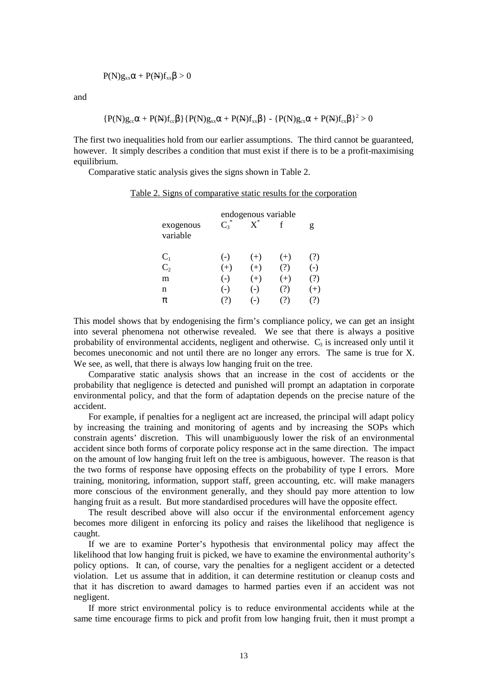$$
P(N)g_{xx}\alpha + P(M)f_{xx}\beta > 0
$$

and

$$
\{P(N)g_{cc}\alpha+P(M)f_{cc}\beta\}\{P(N)g_{xx}\alpha+P(M)f_{xx}\beta\}-\{P(N)g_{cx}\alpha+P(M)f_{cx}\beta\}^2>0
$$

The first two inequalities hold from our earlier assumptions. The third cannot be guaranteed, however. It simply describes a condition that must exist if there is to be a profit-maximising equilibrium.

Comparative static analysis gives the signs shown in Table 2.

| exogenous<br>variable | $C_3^*$ | endogenous variable<br>$\mathbf{v}^*$ |          | g        |
|-----------------------|---------|---------------------------------------|----------|----------|
| $C_1$                 | $(-)$   | $^{(+)}$                              | $^{(+)}$ | (?)      |
| $C_{2}$               | $(+)$   | $(+)$                                 | (?)      | $(-)$    |
| m                     | $(-)$   | $(+)$                                 | $(+)$    | (?)      |
| n                     | $(-)$   | $(-)$                                 | (?)      | $^{(+)}$ |
| π                     | (?)     | ( – )                                 | (?)      | 2)       |

|  | Table 2. Signs of comparative static results for the corporation |  |
|--|------------------------------------------------------------------|--|
|  |                                                                  |  |

This model shows that by endogenising the firm's compliance policy, we can get an insight into several phenomena not otherwise revealed. We see that there is always a positive probability of environmental accidents, negligent and otherwise.  $C_3$  is increased only until it becomes uneconomic and not until there are no longer any errors. The same is true for X. We see, as well, that there is always low hanging fruit on the tree.

Comparative static analysis shows that an increase in the cost of accidents or the probability that negligence is detected and punished will prompt an adaptation in corporate environmental policy, and that the form of adaptation depends on the precise nature of the accident.

For example, if penalties for a negligent act are increased, the principal will adapt policy by increasing the training and monitoring of agents and by increasing the SOPs which constrain agents' discretion. This will unambiguously lower the risk of an environmental accident since both forms of corporate policy response act in the same direction. The impact on the amount of low hanging fruit left on the tree is ambiguous, however. The reason is that the two forms of response have opposing effects on the probability of type I errors. More training, monitoring, information, support staff, green accounting, etc. will make managers more conscious of the environment generally, and they should pay more attention to low hanging fruit as a result. But more standardised procedures will have the opposite effect.

The result described above will also occur if the environmental enforcement agency becomes more diligent in enforcing its policy and raises the likelihood that negligence is caught.

If we are to examine Porter's hypothesis that environmental policy may affect the likelihood that low hanging fruit is picked, we have to examine the environmental authority's policy options. It can, of course, vary the penalties for a negligent accident or a detected violation. Let us assume that in addition, it can determine restitution or cleanup costs and that it has discretion to award damages to harmed parties even if an accident was not negligent.

If more strict environmental policy is to reduce environmental accidents while at the same time encourage firms to pick and profit from low hanging fruit, then it must prompt a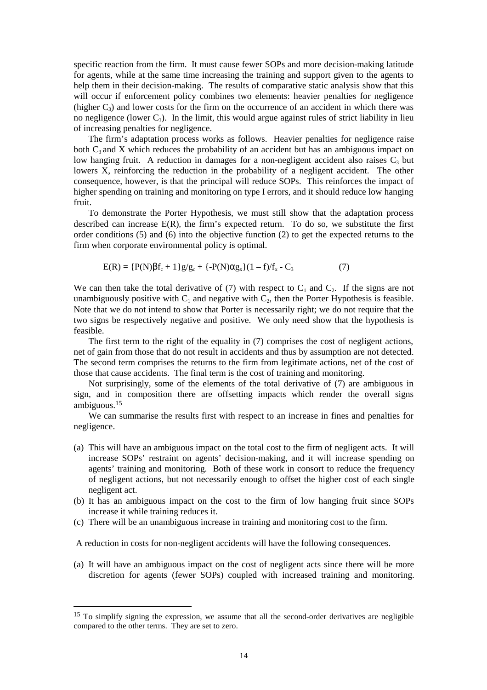specific reaction from the firm. It must cause fewer SOPs and more decision-making latitude for agents, while at the same time increasing the training and support given to the agents to help them in their decision-making. The results of comparative static analysis show that this will occur if enforcement policy combines two elements: heavier penalties for negligence (higher  $C_3$ ) and lower costs for the firm on the occurrence of an accident in which there was no negligence (lower  $C_1$ ). In the limit, this would argue against rules of strict liability in lieu of increasing penalties for negligence.

The firm's adaptation process works as follows. Heavier penalties for negligence raise both  $C_3$  and X which reduces the probability of an accident but has an ambiguous impact on low hanging fruit. A reduction in damages for a non-negligent accident also raises  $C_3$  but lowers X, reinforcing the reduction in the probability of a negligent accident. The other consequence, however, is that the principal will reduce SOPs. This reinforces the impact of higher spending on training and monitoring on type I errors, and it should reduce low hanging fruit.

To demonstrate the Porter Hypothesis, we must still show that the adaptation process described can increase  $E(R)$ , the firm's expected return. To do so, we substitute the first order conditions (5) and (6) into the objective function (2) to get the expected returns to the firm when corporate environmental policy is optimal.

$$
E(R) = {P(N)\beta f_c + 1}g/g_c + {P(N)\alpha g_x}(1 - f)/f_x - C_3
$$
 (7)

We can then take the total derivative of (7) with respect to  $C_1$  and  $C_2$ . If the signs are not unambiguously positive with  $C_1$  and negative with  $C_2$ , then the Porter Hypothesis is feasible. Note that we do not intend to show that Porter is necessarily right; we do not require that the two signs be respectively negative and positive. We only need show that the hypothesis is feasible.

The first term to the right of the equality in (7) comprises the cost of negligent actions, net of gain from those that do not result in accidents and thus by assumption are not detected. The second term comprises the returns to the firm from legitimate actions, net of the cost of those that cause accidents. The final term is the cost of training and monitoring.

Not surprisingly, some of the elements of the total derivative of (7) are ambiguous in sign, and in composition there are offsetting impacts which render the overall signs ambiguous.15

We can summarise the results first with respect to an increase in fines and penalties for negligence.

- (a) This will have an ambiguous impact on the total cost to the firm of negligent acts. It will increase SOPs' restraint on agents' decision-making, and it will increase spending on agents' training and monitoring. Both of these work in consort to reduce the frequency of negligent actions, but not necessarily enough to offset the higher cost of each single negligent act.
- (b) It has an ambiguous impact on the cost to the firm of low hanging fruit since SOPs increase it while training reduces it.
- (c) There will be an unambiguous increase in training and monitoring cost to the firm.

A reduction in costs for non-negligent accidents will have the following consequences.

 $\overline{a}$ 

(a) It will have an ambiguous impact on the cost of negligent acts since there will be more discretion for agents (fewer SOPs) coupled with increased training and monitoring.

<sup>&</sup>lt;sup>15</sup> To simplify signing the expression, we assume that all the second-order derivatives are negligible compared to the other terms. They are set to zero.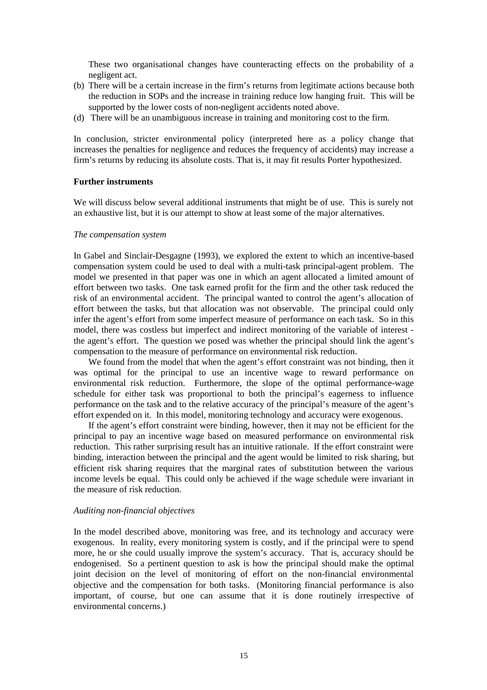These two organisational changes have counteracting effects on the probability of a negligent act.

- (b) There will be a certain increase in the firm's returns from legitimate actions because both the reduction in SOPs and the increase in training reduce low hanging fruit. This will be supported by the lower costs of non-negligent accidents noted above.
- (d) There will be an unambiguous increase in training and monitoring cost to the firm.

In conclusion, stricter environmental policy (interpreted here as a policy change that increases the penalties for negligence and reduces the frequency of accidents) may increase a firm's returns by reducing its absolute costs. That is, it may fit results Porter hypothesized.

#### **Further instruments**

We will discuss below several additional instruments that might be of use. This is surely not an exhaustive list, but it is our attempt to show at least some of the major alternatives.

### *The compensation system*

In Gabel and Sinclair-Desgagne (1993), we explored the extent to which an incentive-based compensation system could be used to deal with a multi-task principal-agent problem. The model we presented in that paper was one in which an agent allocated a limited amount of effort between two tasks. One task earned profit for the firm and the other task reduced the risk of an environmental accident. The principal wanted to control the agent's allocation of effort between the tasks, but that allocation was not observable. The principal could only infer the agent's effort from some imperfect measure of performance on each task. So in this model, there was costless but imperfect and indirect monitoring of the variable of interest the agent's effort. The question we posed was whether the principal should link the agent's compensation to the measure of performance on environmental risk reduction.

We found from the model that when the agent's effort constraint was not binding, then it was optimal for the principal to use an incentive wage to reward performance on environmental risk reduction. Furthermore, the slope of the optimal performance-wage schedule for either task was proportional to both the principal's eagerness to influence performance on the task and to the relative accuracy of the principal's measure of the agent's effort expended on it. In this model, monitoring technology and accuracy were exogenous.

If the agent's effort constraint were binding, however, then it may not be efficient for the principal to pay an incentive wage based on measured performance on environmental risk reduction. This rather surprising result has an intuitive rationale. If the effort constraint were binding, interaction between the principal and the agent would be limited to risk sharing, but efficient risk sharing requires that the marginal rates of substitution between the various income levels be equal. This could only be achieved if the wage schedule were invariant in the measure of risk reduction.

### *Auditing non-financial objectives*

In the model described above, monitoring was free, and its technology and accuracy were exogenous. In reality, every monitoring system is costly, and if the principal were to spend more, he or she could usually improve the system's accuracy. That is, accuracy should be endogenised. So a pertinent question to ask is how the principal should make the optimal joint decision on the level of monitoring of effort on the non-financial environmental objective and the compensation for both tasks. (Monitoring financial performance is also important, of course, but one can assume that it is done routinely irrespective of environmental concerns.)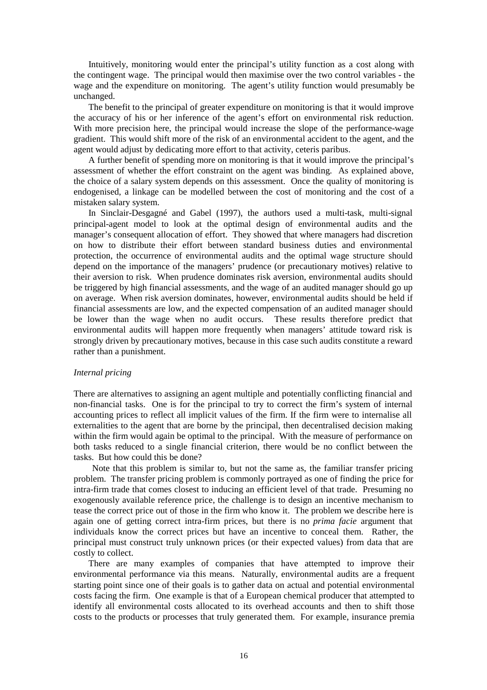Intuitively, monitoring would enter the principal's utility function as a cost along with the contingent wage. The principal would then maximise over the two control variables - the wage and the expenditure on monitoring. The agent's utility function would presumably be unchanged.

The benefit to the principal of greater expenditure on monitoring is that it would improve the accuracy of his or her inference of the agent's effort on environmental risk reduction. With more precision here, the principal would increase the slope of the performance-wage gradient. This would shift more of the risk of an environmental accident to the agent, and the agent would adjust by dedicating more effort to that activity, ceteris paribus.

A further benefit of spending more on monitoring is that it would improve the principal's assessment of whether the effort constraint on the agent was binding. As explained above, the choice of a salary system depends on this assessment. Once the quality of monitoring is endogenised, a linkage can be modelled between the cost of monitoring and the cost of a mistaken salary system.

In Sinclair-Desgagné and Gabel (1997), the authors used a multi-task, multi-signal principal-agent model to look at the optimal design of environmental audits and the manager's consequent allocation of effort. They showed that where managers had discretion on how to distribute their effort between standard business duties and environmental protection, the occurrence of environmental audits and the optimal wage structure should depend on the importance of the managers' prudence (or precautionary motives) relative to their aversion to risk. When prudence dominates risk aversion, environmental audits should be triggered by high financial assessments, and the wage of an audited manager should go up on average. When risk aversion dominates, however, environmental audits should be held if financial assessments are low, and the expected compensation of an audited manager should be lower than the wage when no audit occurs. These results therefore predict that environmental audits will happen more frequently when managers' attitude toward risk is strongly driven by precautionary motives, because in this case such audits constitute a reward rather than a punishment.

### *Internal pricing*

There are alternatives to assigning an agent multiple and potentially conflicting financial and non-financial tasks. One is for the principal to try to correct the firm's system of internal accounting prices to reflect all implicit values of the firm. If the firm were to internalise all externalities to the agent that are borne by the principal, then decentralised decision making within the firm would again be optimal to the principal. With the measure of performance on both tasks reduced to a single financial criterion, there would be no conflict between the tasks. But how could this be done?

Note that this problem is similar to, but not the same as, the familiar transfer pricing problem. The transfer pricing problem is commonly portrayed as one of finding the price for intra-firm trade that comes closest to inducing an efficient level of that trade. Presuming no exogenously available reference price, the challenge is to design an incentive mechanism to tease the correct price out of those in the firm who know it. The problem we describe here is again one of getting correct intra-firm prices, but there is no *prima facie* argument that individuals know the correct prices but have an incentive to conceal them. Rather, the principal must construct truly unknown prices (or their expected values) from data that are costly to collect.

There are many examples of companies that have attempted to improve their environmental performance via this means. Naturally, environmental audits are a frequent starting point since one of their goals is to gather data on actual and potential environmental costs facing the firm. One example is that of a European chemical producer that attempted to identify all environmental costs allocated to its overhead accounts and then to shift those costs to the products or processes that truly generated them. For example, insurance premia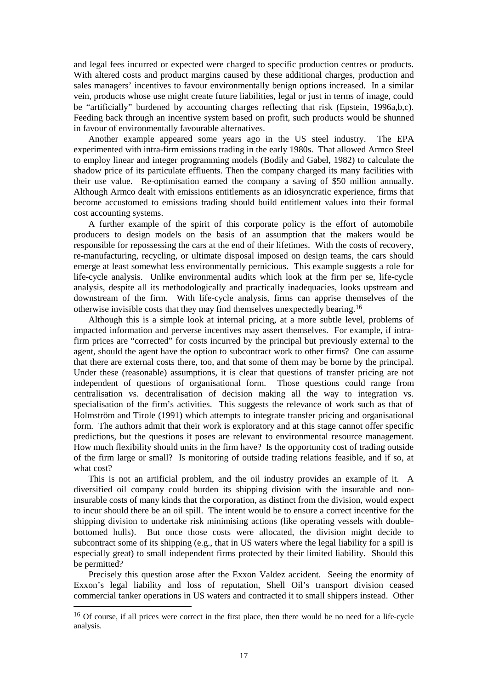and legal fees incurred or expected were charged to specific production centres or products. With altered costs and product margins caused by these additional charges, production and sales managers' incentives to favour environmentally benign options increased. In a similar vein, products whose use might create future liabilities, legal or just in terms of image, could be "artificially" burdened by accounting charges reflecting that risk (Epstein, 1996a,b,c). Feeding back through an incentive system based on profit, such products would be shunned in favour of environmentally favourable alternatives.

Another example appeared some years ago in the US steel industry. The EPA experimented with intra-firm emissions trading in the early 1980s. That allowed Armco Steel to employ linear and integer programming models (Bodily and Gabel, 1982) to calculate the shadow price of its particulate effluents. Then the company charged its many facilities with their use value. Re-optimisation earned the company a saving of \$50 million annually. Although Armco dealt with emissions entitlements as an idiosyncratic experience, firms that become accustomed to emissions trading should build entitlement values into their formal cost accounting systems.

A further example of the spirit of this corporate policy is the effort of automobile producers to design models on the basis of an assumption that the makers would be responsible for repossessing the cars at the end of their lifetimes. With the costs of recovery, re-manufacturing, recycling, or ultimate disposal imposed on design teams, the cars should emerge at least somewhat less environmentally pernicious. This example suggests a role for life-cycle analysis. Unlike environmental audits which look at the firm per se, life-cycle analysis, despite all its methodologically and practically inadequacies, looks upstream and downstream of the firm. With life-cycle analysis, firms can apprise themselves of the otherwise invisible costs that they may find themselves unexpectedly bearing.16

Although this is a simple look at internal pricing, at a more subtle level, problems of impacted information and perverse incentives may assert themselves. For example, if intrafirm prices are "corrected" for costs incurred by the principal but previously external to the agent, should the agent have the option to subcontract work to other firms? One can assume that there are external costs there, too, and that some of them may be borne by the principal. Under these (reasonable) assumptions, it is clear that questions of transfer pricing are not independent of questions of organisational form. Those questions could range from centralisation vs. decentralisation of decision making all the way to integration vs. specialisation of the firm's activities. This suggests the relevance of work such as that of Holmström and Tirole (1991) which attempts to integrate transfer pricing and organisational form. The authors admit that their work is exploratory and at this stage cannot offer specific predictions, but the questions it poses are relevant to environmental resource management. How much flexibility should units in the firm have? Is the opportunity cost of trading outside of the firm large or small? Is monitoring of outside trading relations feasible, and if so, at what cost?

This is not an artificial problem, and the oil industry provides an example of it. A diversified oil company could burden its shipping division with the insurable and noninsurable costs of many kinds that the corporation, as distinct from the division, would expect to incur should there be an oil spill. The intent would be to ensure a correct incentive for the shipping division to undertake risk minimising actions (like operating vessels with doublebottomed hulls). But once those costs were allocated, the division might decide to subcontract some of its shipping (e.g., that in US waters where the legal liability for a spill is especially great) to small independent firms protected by their limited liability. Should this be permitted?

Precisely this question arose after the Exxon Valdez accident. Seeing the enormity of Exxon's legal liability and loss of reputation, Shell Oil's transport division ceased commercial tanker operations in US waters and contracted it to small shippers instead. Other

<sup>&</sup>lt;sup>16</sup> Of course, if all prices were correct in the first place, then there would be no need for a life-cycle analysis.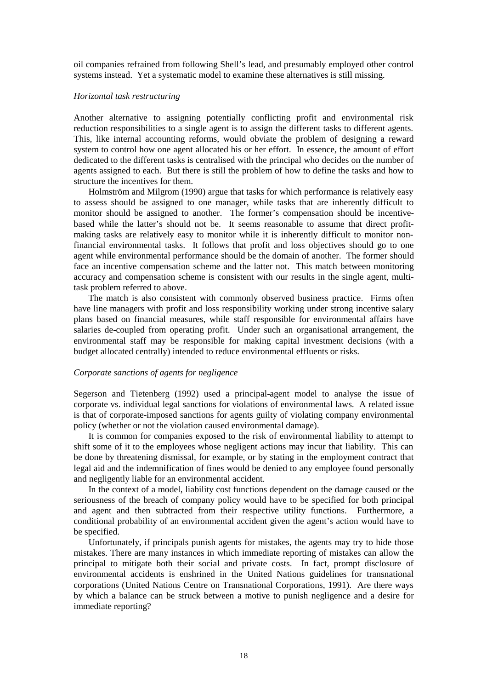oil companies refrained from following Shell's lead, and presumably employed other control systems instead. Yet a systematic model to examine these alternatives is still missing.

## *Horizontal task restructuring*

Another alternative to assigning potentially conflicting profit and environmental risk reduction responsibilities to a single agent is to assign the different tasks to different agents. This, like internal accounting reforms, would obviate the problem of designing a reward system to control how one agent allocated his or her effort. In essence, the amount of effort dedicated to the different tasks is centralised with the principal who decides on the number of agents assigned to each. But there is still the problem of how to define the tasks and how to structure the incentives for them.

Holmström and Milgrom (1990) argue that tasks for which performance is relatively easy to assess should be assigned to one manager, while tasks that are inherently difficult to monitor should be assigned to another. The former's compensation should be incentivebased while the latter's should not be. It seems reasonable to assume that direct profitmaking tasks are relatively easy to monitor while it is inherently difficult to monitor nonfinancial environmental tasks. It follows that profit and loss objectives should go to one agent while environmental performance should be the domain of another. The former should face an incentive compensation scheme and the latter not. This match between monitoring accuracy and compensation scheme is consistent with our results in the single agent, multitask problem referred to above.

The match is also consistent with commonly observed business practice. Firms often have line managers with profit and loss responsibility working under strong incentive salary plans based on financial measures, while staff responsible for environmental affairs have salaries de-coupled from operating profit. Under such an organisational arrangement, the environmental staff may be responsible for making capital investment decisions (with a budget allocated centrally) intended to reduce environmental effluents or risks.

### *Corporate sanctions of agents for negligence*

Segerson and Tietenberg (1992) used a principal-agent model to analyse the issue of corporate vs. individual legal sanctions for violations of environmental laws. A related issue is that of corporate-imposed sanctions for agents guilty of violating company environmental policy (whether or not the violation caused environmental damage).

It is common for companies exposed to the risk of environmental liability to attempt to shift some of it to the employees whose negligent actions may incur that liability. This can be done by threatening dismissal, for example, or by stating in the employment contract that legal aid and the indemnification of fines would be denied to any employee found personally and negligently liable for an environmental accident.

In the context of a model, liability cost functions dependent on the damage caused or the seriousness of the breach of company policy would have to be specified for both principal and agent and then subtracted from their respective utility functions. Furthermore, a conditional probability of an environmental accident given the agent's action would have to be specified.

Unfortunately, if principals punish agents for mistakes, the agents may try to hide those mistakes. There are many instances in which immediate reporting of mistakes can allow the principal to mitigate both their social and private costs. In fact, prompt disclosure of environmental accidents is enshrined in the United Nations guidelines for transnational corporations (United Nations Centre on Transnational Corporations, 1991). Are there ways by which a balance can be struck between a motive to punish negligence and a desire for immediate reporting?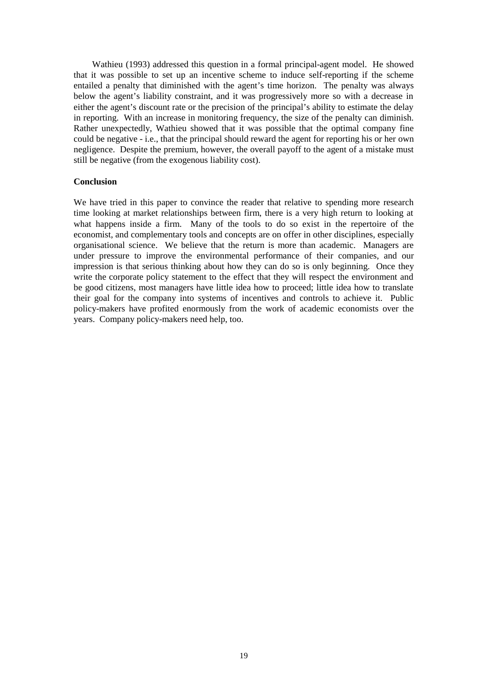Wathieu (1993) addressed this question in a formal principal-agent model. He showed that it was possible to set up an incentive scheme to induce self-reporting if the scheme entailed a penalty that diminished with the agent's time horizon. The penalty was always below the agent's liability constraint, and it was progressively more so with a decrease in either the agent's discount rate or the precision of the principal's ability to estimate the delay in reporting. With an increase in monitoring frequency, the size of the penalty can diminish. Rather unexpectedly, Wathieu showed that it was possible that the optimal company fine could be negative - i.e., that the principal should reward the agent for reporting his or her own negligence. Despite the premium, however, the overall payoff to the agent of a mistake must still be negative (from the exogenous liability cost).

## **Conclusion**

We have tried in this paper to convince the reader that relative to spending more research time looking at market relationships between firm, there is a very high return to looking at what happens inside a firm. Many of the tools to do so exist in the repertoire of the economist, and complementary tools and concepts are on offer in other disciplines, especially organisational science. We believe that the return is more than academic. Managers are under pressure to improve the environmental performance of their companies, and our impression is that serious thinking about how they can do so is only beginning. Once they write the corporate policy statement to the effect that they will respect the environment and be good citizens, most managers have little idea how to proceed; little idea how to translate their goal for the company into systems of incentives and controls to achieve it. Public policy-makers have profited enormously from the work of academic economists over the years. Company policy-makers need help, too.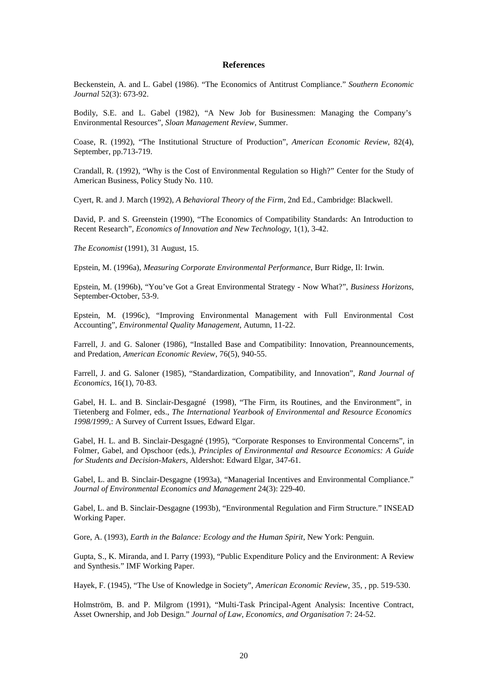#### **References**

Beckenstein, A. and L. Gabel (1986). "The Economics of Antitrust Compliance." *Southern Economic Journal* 52(3): 673-92.

Bodily, S.E. and L. Gabel (1982), "A New Job for Businessmen: Managing the Company's Environmental Resources", *Sloan Management Review*, Summer.

Coase, R. (1992), "The Institutional Structure of Production", *American Economic Review*, 82(4), September, pp.713-719.

Crandall, R. (1992), "Why is the Cost of Environmental Regulation so High?" Center for the Study of American Business, Policy Study No. 110.

Cyert, R. and J. March (1992), *A Behavioral Theory of the Firm*, 2nd Ed., Cambridge: Blackwell.

David, P. and S. Greenstein (1990), "The Economics of Compatibility Standards: An Introduction to Recent Research", *Economics of Innovation and New Technology*, 1(1), 3-42.

*The Economist* (1991), 31 August, 15.

Epstein, M. (1996a), *Measuring Corporate Environmental Performance*, Burr Ridge, Il: Irwin.

Epstein, M. (1996b), "You've Got a Great Environmental Strategy - Now What?", *Business Horizons*, September-October, 53-9.

Epstein, M. (1996c), "Improving Environmental Management with Full Environmental Cost Accounting", *Environmental Quality Management*, Autumn, 11-22.

Farrell, J. and G. Saloner (1986), "Installed Base and Compatibility: Innovation, Preannouncements, and Predation, *American Economic Review*, 76(5), 940-55.

Farrell, J. and G. Saloner (1985), "Standardization, Compatibility, and Innovation", *Rand Journal of Economics*, 16(1), 70-83.

Gabel, H. L. and B. Sinclair-Desgagné (1998), "The Firm, its Routines, and the Environment", in Tietenberg and Folmer, eds., *The International Yearbook of Environmental and Resource Economics 1998/1999*,: A Survey of Current Issues, Edward Elgar.

Gabel, H. L. and B. Sinclair-Desgagné (1995), "Corporate Responses to Environmental Concerns", in Folmer, Gabel, and Opschoor (eds.), *Principles of Environmental and Resource Economics: A Guide for Students and Decision-Makers*, Aldershot: Edward Elgar, 347-61.

Gabel, L. and B. Sinclair-Desgagne (1993a), "Managerial Incentives and Environmental Compliance." *Journal of Environmental Economics and Management* 24(3): 229-40.

Gabel, L. and B. Sinclair-Desgagne (1993b), "Environmental Regulation and Firm Structure." INSEAD Working Paper.

Gore, A. (1993), *Earth in the Balance: Ecology and the Human Spirit*, New York: Penguin.

Gupta, S., K. Miranda, and I. Parry (1993), "Public Expenditure Policy and the Environment: A Review and Synthesis." IMF Working Paper.

Hayek, F. (1945), "The Use of Knowledge in Society", *American Economic Review*, 35, , pp. 519-530.

Holmström, B. and P. Milgrom (1991), "Multi-Task Principal-Agent Analysis: Incentive Contract, Asset Ownership, and Job Design." *Journal of Law, Economics, and Organisation* 7: 24-52.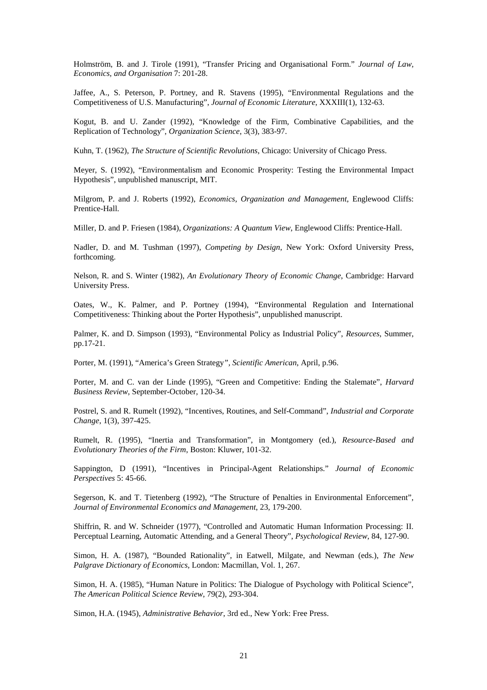Holmström, B. and J. Tirole (1991), "Transfer Pricing and Organisational Form." *Journal of Law, Economics, and Organisation* 7: 201-28.

Jaffee, A., S. Peterson, P. Portney, and R. Stavens (1995), "Environmental Regulations and the Competitiveness of U.S. Manufacturing", *Journal of Economic Literature*, XXXIII(1), 132-63.

Kogut, B. and U. Zander (1992), "Knowledge of the Firm, Combinative Capabilities, and the Replication of Technology", *Organization Science*, 3(3), 383-97.

Kuhn, T. (1962), *The Structure of Scientific Revolutions*, Chicago: University of Chicago Press.

Meyer, S. (1992), "Environmentalism and Economic Prosperity: Testing the Environmental Impact Hypothesis", unpublished manuscript, MIT.

Milgrom, P. and J. Roberts (1992), *Economics, Organization and Management*, Englewood Cliffs: Prentice-Hall.

Miller, D. and P. Friesen (1984), *Organizations: A Quantum View*, Englewood Cliffs: Prentice-Hall.

Nadler, D. and M. Tushman (1997), *Competing by Design*, New York: Oxford University Press, forthcoming.

Nelson, R. and S. Winter (1982), *An Evolutionary Theory of Economic Change*, Cambridge: Harvard University Press.

Oates, W., K. Palmer, and P. Portney (1994), "Environmental Regulation and International Competitiveness: Thinking about the Porter Hypothesis", unpublished manuscript.

Palmer, K. and D. Simpson (1993), "Environmental Policy as Industrial Policy", *Resources*, Summer, pp.17-21.

Porter, M. (1991), "America's Green Strategy*", Scientific American*, April, p.96.

Porter, M. and C. van der Linde (1995), "Green and Competitive: Ending the Stalemate", *Harvard Business Review*, September-October, 120-34.

Postrel, S. and R. Rumelt (1992), "Incentives, Routines, and Self-Command", *Industrial and Corporate Change*, 1(3), 397-425.

Rumelt, R. (1995), "Inertia and Transformation", in Montgomery (ed.), *Resource-Based and Evolutionary Theories of the Firm*, Boston: Kluwer, 101-32.

Sappington, D (1991), "Incentives in Principal-Agent Relationships." *Journal of Economic Perspectives* 5: 45-66.

Segerson, K. and T. Tietenberg (1992), "The Structure of Penalties in Environmental Enforcement", *Journal of Environmental Economics and Management*, 23, 179-200.

Shiffrin, R. and W. Schneider (1977), "Controlled and Automatic Human Information Processing: II. Perceptual Learning, Automatic Attending, and a General Theory", *Psychological Review*, 84, 127-90.

Simon, H. A. (1987), "Bounded Rationality", in Eatwell, Milgate, and Newman (eds.), *The New Palgrave Dictionary of Economics*, London: Macmillan, Vol. 1, 267.

Simon, H. A. (1985), "Human Nature in Politics: The Dialogue of Psychology with Political Science", *The American Political Science Review*, 79(2), 293-304.

Simon, H.A. (1945), *Administrative Behavior*, 3rd ed., New York: Free Press.